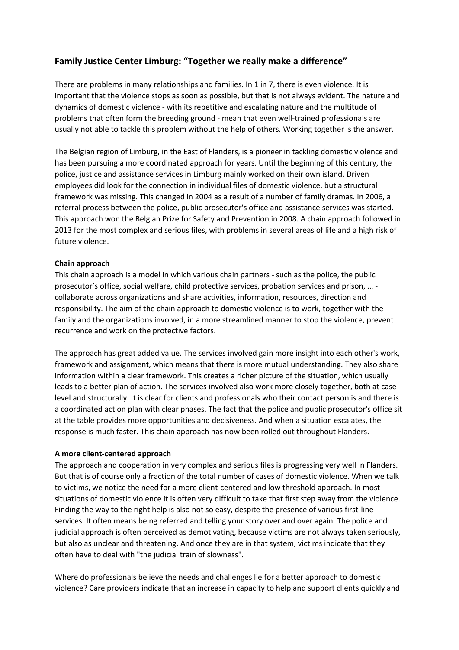# **Family Justice Center Limburg: "Together we really make a difference"**

There are problems in many relationships and families. In 1 in 7, there is even violence. It is important that the violence stops as soon as possible, but that is not always evident. The nature and dynamics of domestic violence - with its repetitive and escalating nature and the multitude of problems that often form the breeding ground - mean that even well-trained professionals are usually not able to tackle this problem without the help of others. Working together is the answer.

The Belgian region of Limburg, in the East of Flanders, is a pioneer in tackling domestic violence and has been pursuing a more coordinated approach for years. Until the beginning of this century, the police, justice and assistance services in Limburg mainly worked on their own island. Driven employees did look for the connection in individual files of domestic violence, but a structural framework was missing. This changed in 2004 as a result of a number of family dramas. In 2006, a referral process between the police, public prosecutor's office and assistance services was started. This approach won the Belgian Prize for Safety and Prevention in 2008. A chain approach followed in 2013 for the most complex and serious files, with problems in several areas of life and a high risk of future violence.

## **Chain approach**

This chain approach is a model in which various chain partners - such as the police, the public prosecutor's office, social welfare, child protective services, probation services and prison, … collaborate across organizations and share activities, information, resources, direction and responsibility. The aim of the chain approach to domestic violence is to work, together with the family and the organizations involved, in a more streamlined manner to stop the violence, prevent recurrence and work on the protective factors.

The approach has great added value. The services involved gain more insight into each other's work, framework and assignment, which means that there is more mutual understanding. They also share information within a clear framework. This creates a richer picture of the situation, which usually leads to a better plan of action. The services involved also work more closely together, both at case level and structurally. It is clear for clients and professionals who their contact person is and there is a coordinated action plan with clear phases. The fact that the police and public prosecutor's office sit at the table provides more opportunities and decisiveness. And when a situation escalates, the response is much faster. This chain approach has now been rolled out throughout Flanders.

### **A more client-centered approach**

The approach and cooperation in very complex and serious files is progressing very well in Flanders. But that is of course only a fraction of the total number of cases of domestic violence. When we talk to victims, we notice the need for a more client-centered and low threshold approach. In most situations of domestic violence it is often very difficult to take that first step away from the violence. Finding the way to the right help is also not so easy, despite the presence of various first-line services. It often means being referred and telling your story over and over again. The police and judicial approach is often perceived as demotivating, because victims are not always taken seriously, but also as unclear and threatening. And once they are in that system, victims indicate that they often have to deal with "the judicial train of slowness".

Where do professionals believe the needs and challenges lie for a better approach to domestic violence? Care providers indicate that an increase in capacity to help and support clients quickly and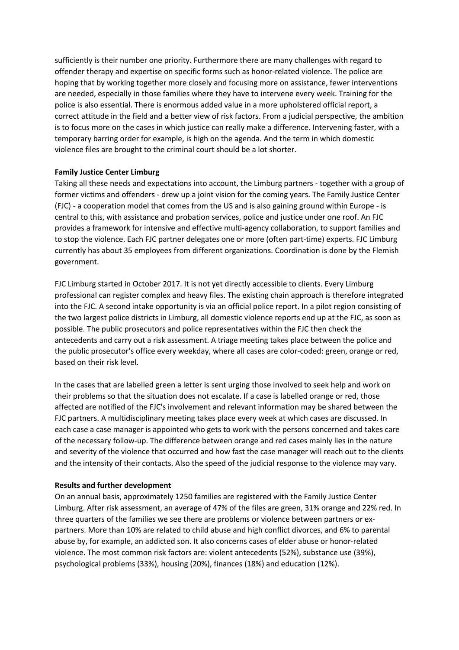sufficiently is their number one priority. Furthermore there are many challenges with regard to offender therapy and expertise on specific forms such as honor-related violence. The police are hoping that by working together more closely and focusing more on assistance, fewer interventions are needed, especially in those families where they have to intervene every week. Training for the police is also essential. There is enormous added value in a more upholstered official report, a correct attitude in the field and a better view of risk factors. From a judicial perspective, the ambition is to focus more on the cases in which justice can really make a difference. Intervening faster, with a temporary barring order for example, is high on the agenda. And the term in which domestic violence files are brought to the criminal court should be a lot shorter.

### **Family Justice Center Limburg**

Taking all these needs and expectations into account, the Limburg partners - together with a group of former victims and offenders - drew up a joint vision for the coming years. The Family Justice Center (FJC) - a cooperation model that comes from the US and is also gaining ground within Europe - is central to this, with assistance and probation services, police and justice under one roof. An FJC provides a framework for intensive and effective multi-agency collaboration, to support families and to stop the violence. Each FJC partner delegates one or more (often part-time) experts. FJC Limburg currently has about 35 employees from different organizations. Coordination is done by the Flemish government.

FJC Limburg started in October 2017. It is not yet directly accessible to clients. Every Limburg professional can register complex and heavy files. The existing chain approach is therefore integrated into the FJC. A second intake opportunity is via an official police report. In a pilot region consisting of the two largest police districts in Limburg, all domestic violence reports end up at the FJC, as soon as possible. The public prosecutors and police representatives within the FJC then check the antecedents and carry out a risk assessment. A triage meeting takes place between the police and the public prosecutor's office every weekday, where all cases are color-coded: green, orange or red, based on their risk level.

In the cases that are labelled green a letter is sent urging those involved to seek help and work on their problems so that the situation does not escalate. If a case is labelled orange or red, those affected are notified of the FJC's involvement and relevant information may be shared between the FJC partners. A multidisciplinary meeting takes place every week at which cases are discussed. In each case a case manager is appointed who gets to work with the persons concerned and takes care of the necessary follow-up. The difference between orange and red cases mainly lies in the nature and severity of the violence that occurred and how fast the case manager will reach out to the clients and the intensity of their contacts. Also the speed of the judicial response to the violence may vary.

### **Results and further development**

On an annual basis, approximately 1250 families are registered with the Family Justice Center Limburg. After risk assessment, an average of 47% of the files are green, 31% orange and 22% red. In three quarters of the families we see there are problems or violence between partners or expartners. More than 10% are related to child abuse and high conflict divorces, and 6% to parental abuse by, for example, an addicted son. It also concerns cases of elder abuse or honor-related violence. The most common risk factors are: violent antecedents (52%), substance use (39%), psychological problems (33%), housing (20%), finances (18%) and education (12%).